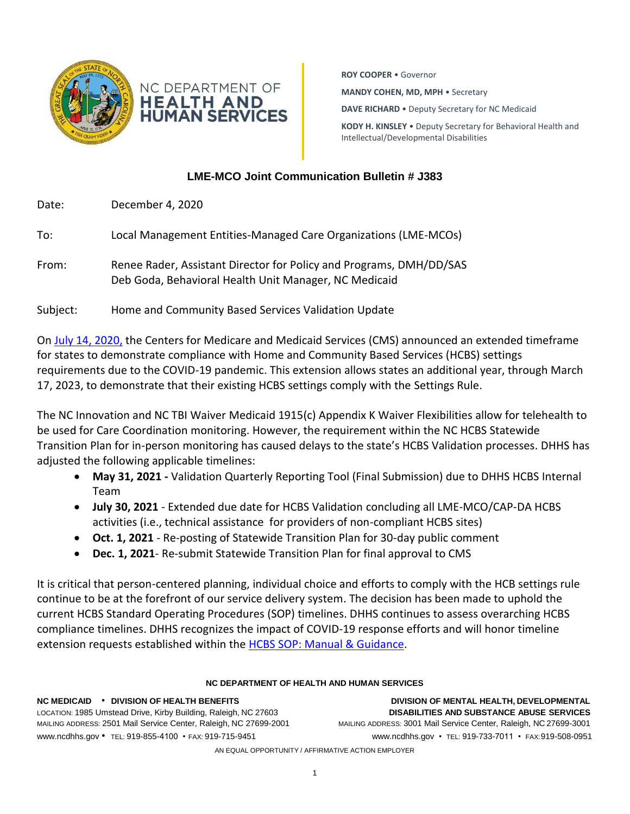

**ROY COOPER** • Governor **MANDY COHEN, MD, MPH** • Secretary **DAVE RICHARD** • Deputy Secretary for NC Medicaid **KODY H. KINSLEY** • Deputy Secretary for Behavioral Health and Intellectual/Developmental Disabilities

## **LME-MCO Joint Communication Bulletin # J383**

| Date: | December 4, 2020 |
|-------|------------------|
|       |                  |

To: Local Management Entities-Managed Care Organizations (LME-MCOs)

From: Renee Rader, Assistant Director for Policy and Programs, DMH/DD/SAS Deb Goda, Behavioral Health Unit Manager, NC Medicaid

Subject: Home and Community Based Services Validation Update

On [July 14, 2020,](https://www.medicaid.gov/Federal-Policy-Guidance/Downloads/smd20003.pdf) the Centers for Medicare and Medicaid Services (CMS) announced an extended timeframe for states to demonstrate compliance with Home and Community Based Services (HCBS) settings requirements due to the COVID-19 pandemic. This extension allows states an additional year, through March 17, 2023, to demonstrate that their existing HCBS settings comply with the Settings Rule.

The NC Innovation and NC TBI Waiver Medicaid 1915(c) Appendix K Waiver Flexibilities allow for telehealth to be used for Care Coordination monitoring. However, the requirement within the NC HCBS Statewide Transition Plan for in-person monitoring has caused delays to the state's HCBS Validation processes. DHHS has adjusted the following applicable timelines:

- **May 31, 2021 -** Validation Quarterly Reporting Tool (Final Submission) due to DHHS HCBS Internal Team
- **July 30, 2021** Extended due date for HCBS Validation concluding all LME-MCO/CAP-DA HCBS activities (i.e., technical assistance for providers of non-compliant HCBS sites)
- **Oct. 1, 2021** Re-posting of Statewide Transition Plan for 30-day public comment
- **Dec. 1, 2021** Re-submit Statewide Transition Plan for final approval to CMS

It is critical that person-centered planning, individual choice and efforts to comply with the HCB settings rule continue to be at the forefront of our service delivery system. The decision has been made to uphold the current HCBS Standard Operating Procedures (SOP) timelines. DHHS continues to assess overarching HCBS compliance timelines. DHHS recognizes the impact of COVID-19 response efforts and will honor timeline extension requests established within the **HCBS SOP: Manual & Guidance**.

## **NC DEPARTMENT OF HEALTH AND HUMAN SERVICES**

**NC MEDICAID** • **DIVISION OF HEALTH BENEFITS DIVISION OF MENTAL HEALTH, DEVELOPMENTAL** LOCATION: 1985 Umstead Drive, Kirby Building, Raleigh, NC 27603 **DISABILITIES AND SUBSTANCE ABUSE SERVICES** MAILING ADDRESS: 2501 Mail Service Center, Raleigh, NC 27699-2001 MAILING ADDRESS: 3001 Mail Service Center, Raleigh, NC 27699-3001 [www.ncdhhs.gov](http://www.ncdhhs.gov/) • TEL: 919-855-4100 • FAX: 919-715-9451 www.ncdhhs.gov • TEL: 919-733-7011 • FAX:919-508-0951

AN EQUAL OPPORTUNITY / AFFIRMATIVE ACTION EMPLOYER